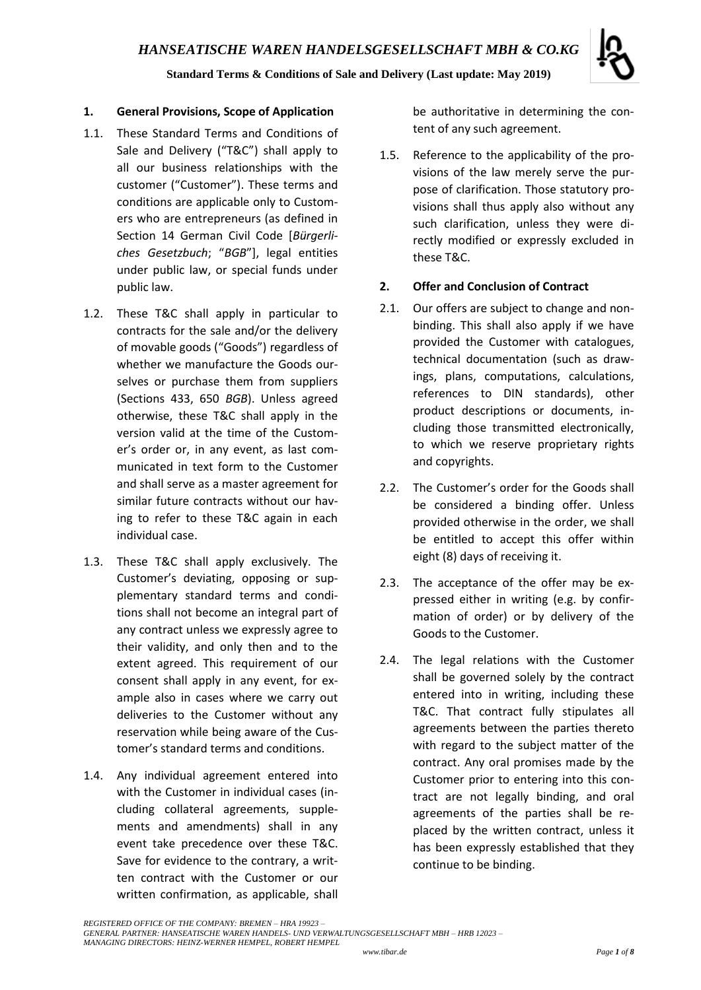

#### **1. General Provisions, Scope of Application**

- 1.1. These Standard Terms and Conditions of Sale and Delivery ("T&C") shall apply to all our business relationships with the customer ("Customer"). These terms and conditions are applicable only to Customers who are entrepreneurs (as defined in Section 14 German Civil Code [*Bürgerliches Gesetzbuch*; "*BGB*"], legal entities under public law, or special funds under public law.
- 1.2. These T&C shall apply in particular to contracts for the sale and/or the delivery of movable goods ("Goods") regardless of whether we manufacture the Goods ourselves or purchase them from suppliers (Sections 433, 650 *BGB*). Unless agreed otherwise, these T&C shall apply in the version valid at the time of the Customer's order or, in any event, as last communicated in text form to the Customer and shall serve as a master agreement for similar future contracts without our having to refer to these T&C again in each individual case.
- 1.3. These T&C shall apply exclusively. The Customer's deviating, opposing or supplementary standard terms and conditions shall not become an integral part of any contract unless we expressly agree to their validity, and only then and to the extent agreed. This requirement of our consent shall apply in any event, for example also in cases where we carry out deliveries to the Customer without any reservation while being aware of the Customer's standard terms and conditions.
- 1.4. Any individual agreement entered into with the Customer in individual cases (including collateral agreements, supplements and amendments) shall in any event take precedence over these T&C. Save for evidence to the contrary, a written contract with the Customer or our written confirmation, as applicable, shall

be authoritative in determining the content of any such agreement.

1.5. Reference to the applicability of the provisions of the law merely serve the purpose of clarification. Those statutory provisions shall thus apply also without any such clarification, unless they were directly modified or expressly excluded in these T&C.

# **2. Offer and Conclusion of Contract**

- 2.1. Our offers are subject to change and nonbinding. This shall also apply if we have provided the Customer with catalogues, technical documentation (such as drawings, plans, computations, calculations, references to DIN standards), other product descriptions or documents, including those transmitted electronically, to which we reserve proprietary rights and copyrights.
- 2.2. The Customer's order for the Goods shall be considered a binding offer. Unless provided otherwise in the order, we shall be entitled to accept this offer within eight (8) days of receiving it.
- 2.3. The acceptance of the offer may be expressed either in writing (e.g. by confirmation of order) or by delivery of the Goods to the Customer.
- 2.4. The legal relations with the Customer shall be governed solely by the contract entered into in writing, including these T&C. That contract fully stipulates all agreements between the parties thereto with regard to the subject matter of the contract. Any oral promises made by the Customer prior to entering into this contract are not legally binding, and oral agreements of the parties shall be replaced by the written contract, unless it has been expressly established that they continue to be binding.

*REGISTERED OFFICE OF THE COMPANY: BREMEN – HRA 19923 –*

*GENERAL PARTNER: HANSEATISCHE WAREN HANDELS- UND VERWALTUNGSGESELLSCHAFT MBH – HRB 12023 – MANAGING DIRECTORS: HEINZ-WERNER HEMPEL, ROBERT HEMPEL*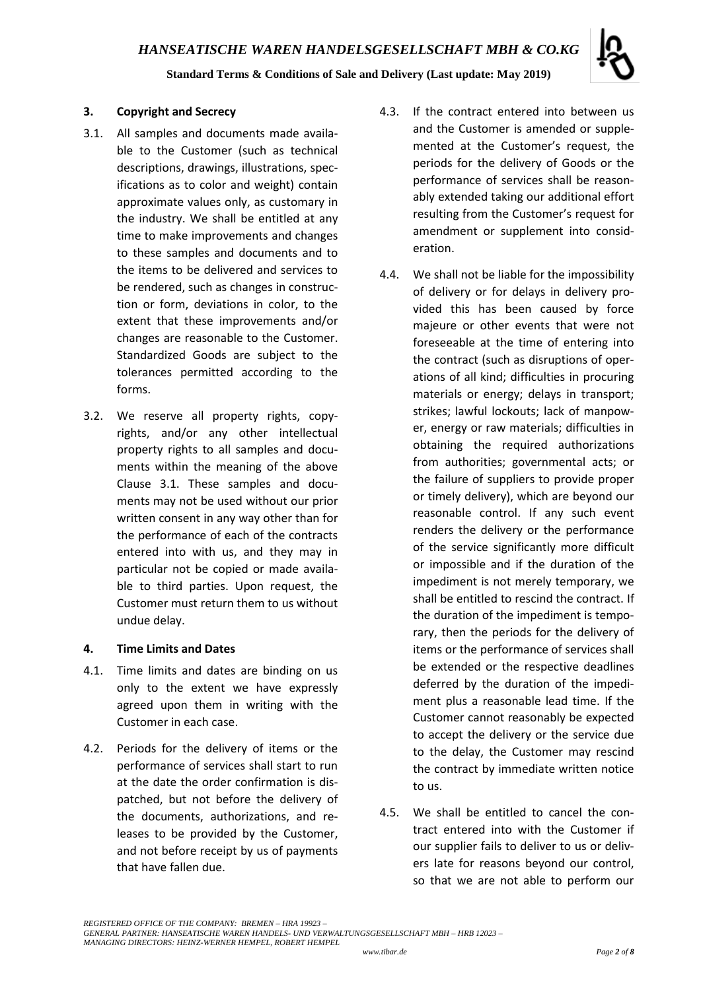

### **3. Copyright and Secrecy**

- 3.1. All samples and documents made available to the Customer (such as technical descriptions, drawings, illustrations, specifications as to color and weight) contain approximate values only, as customary in the industry. We shall be entitled at any time to make improvements and changes to these samples and documents and to the items to be delivered and services to be rendered, such as changes in construction or form, deviations in color, to the extent that these improvements and/or changes are reasonable to the Customer. Standardized Goods are subject to the tolerances permitted according to the forms.
- 3.2. We reserve all property rights, copyrights, and/or any other intellectual property rights to all samples and documents within the meaning of the above Clause 3.1. These samples and documents may not be used without our prior written consent in any way other than for the performance of each of the contracts entered into with us, and they may in particular not be copied or made available to third parties. Upon request, the Customer must return them to us without undue delay.

### **4. Time Limits and Dates**

- 4.1. Time limits and dates are binding on us only to the extent we have expressly agreed upon them in writing with the Customer in each case.
- 4.2. Periods for the delivery of items or the performance of services shall start to run at the date the order confirmation is dispatched, but not before the delivery of the documents, authorizations, and releases to be provided by the Customer, and not before receipt by us of payments that have fallen due.
- 4.3. If the contract entered into between us and the Customer is amended or supplemented at the Customer's request, the periods for the delivery of Goods or the performance of services shall be reasonably extended taking our additional effort resulting from the Customer's request for amendment or supplement into consideration.
- 4.4. We shall not be liable for the impossibility of delivery or for delays in delivery provided this has been caused by force majeure or other events that were not foreseeable at the time of entering into the contract (such as disruptions of operations of all kind; difficulties in procuring materials or energy; delays in transport; strikes; lawful lockouts; lack of manpower, energy or raw materials; difficulties in obtaining the required authorizations from authorities; governmental acts; or the failure of suppliers to provide proper or timely delivery), which are beyond our reasonable control. If any such event renders the delivery or the performance of the service significantly more difficult or impossible and if the duration of the impediment is not merely temporary, we shall be entitled to rescind the contract. If the duration of the impediment is temporary, then the periods for the delivery of items or the performance of services shall be extended or the respective deadlines deferred by the duration of the impediment plus a reasonable lead time. If the Customer cannot reasonably be expected to accept the delivery or the service due to the delay, the Customer may rescind the contract by immediate written notice to us.
- 4.5. We shall be entitled to cancel the contract entered into with the Customer if our supplier fails to deliver to us or delivers late for reasons beyond our control, so that we are not able to perform our

*GENERAL PARTNER: HANSEATISCHE WAREN HANDELS- UND VERWALTUNGSGESELLSCHAFT MBH – HRB 12023 – MANAGING DIRECTORS: HEINZ-WERNER HEMPEL, ROBERT HEMPEL*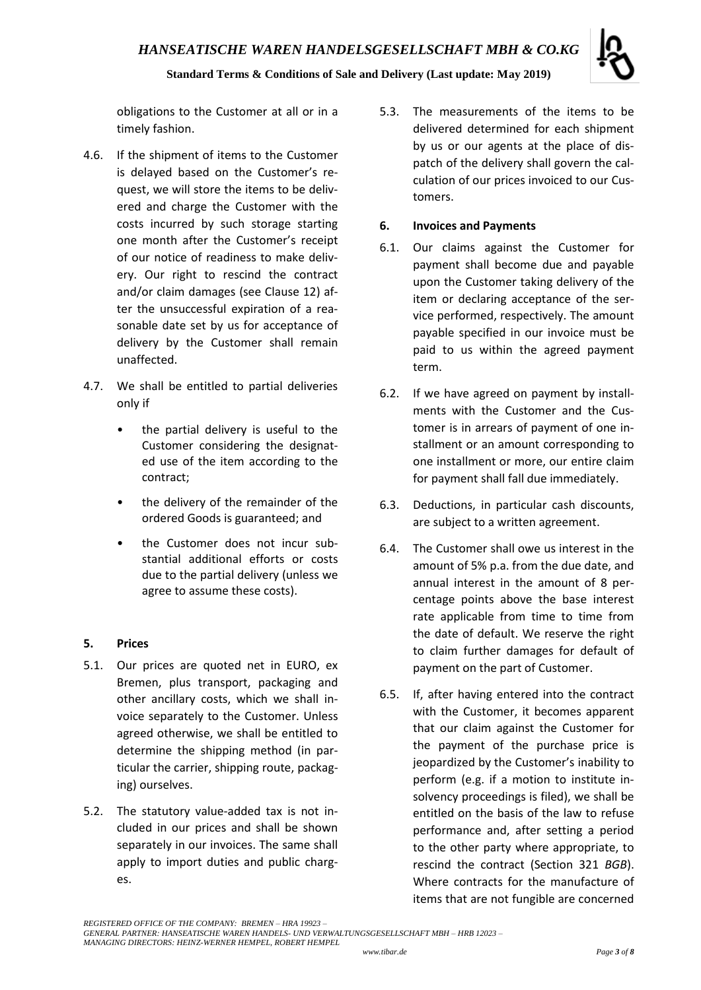obligations to the Customer at all or in a timely fashion.

- 4.6. If the shipment of items to the Customer is delayed based on the Customer's request, we will store the items to be delivered and charge the Customer with the costs incurred by such storage starting one month after the Customer's receipt of our notice of readiness to make delivery. Our right to rescind the contract and/or claim damages (see Clause 12) after the unsuccessful expiration of a reasonable date set by us for acceptance of delivery by the Customer shall remain unaffected.
- 4.7. We shall be entitled to partial deliveries only if
	- the partial delivery is useful to the Customer considering the designated use of the item according to the contract;
	- the delivery of the remainder of the ordered Goods is guaranteed; and
	- the Customer does not incur substantial additional efforts or costs due to the partial delivery (unless we agree to assume these costs).

# **5. Prices**

- 5.1. Our prices are quoted net in EURO, ex Bremen, plus transport, packaging and other ancillary costs, which we shall invoice separately to the Customer. Unless agreed otherwise, we shall be entitled to determine the shipping method (in particular the carrier, shipping route, packaging) ourselves.
- 5.2. The statutory value-added tax is not included in our prices and shall be shown separately in our invoices. The same shall apply to import duties and public charges.

5.3. The measurements of the items to be delivered determined for each shipment by us or our agents at the place of dispatch of the delivery shall govern the calculation of our prices invoiced to our Customers.

# **6. Invoices and Payments**

- 6.1. Our claims against the Customer for payment shall become due and payable upon the Customer taking delivery of the item or declaring acceptance of the service performed, respectively. The amount payable specified in our invoice must be paid to us within the agreed payment term.
- 6.2. If we have agreed on payment by installments with the Customer and the Customer is in arrears of payment of one installment or an amount corresponding to one installment or more, our entire claim for payment shall fall due immediately.
- 6.3. Deductions, in particular cash discounts, are subject to a written agreement.
- 6.4. The Customer shall owe us interest in the amount of 5% p.a. from the due date, and annual interest in the amount of 8 percentage points above the base interest rate applicable from time to time from the date of default. We reserve the right to claim further damages for default of payment on the part of Customer.
- 6.5. If, after having entered into the contract with the Customer, it becomes apparent that our claim against the Customer for the payment of the purchase price is jeopardized by the Customer's inability to perform (e.g. if a motion to institute insolvency proceedings is filed), we shall be entitled on the basis of the law to refuse performance and, after setting a period to the other party where appropriate, to rescind the contract (Section 321 *BGB*). Where contracts for the manufacture of items that are not fungible are concerned

*GENERAL PARTNER: HANSEATISCHE WAREN HANDELS- UND VERWALTUNGSGESELLSCHAFT MBH – HRB 12023 – MANAGING DIRECTORS: HEINZ-WERNER HEMPEL, ROBERT HEMPEL*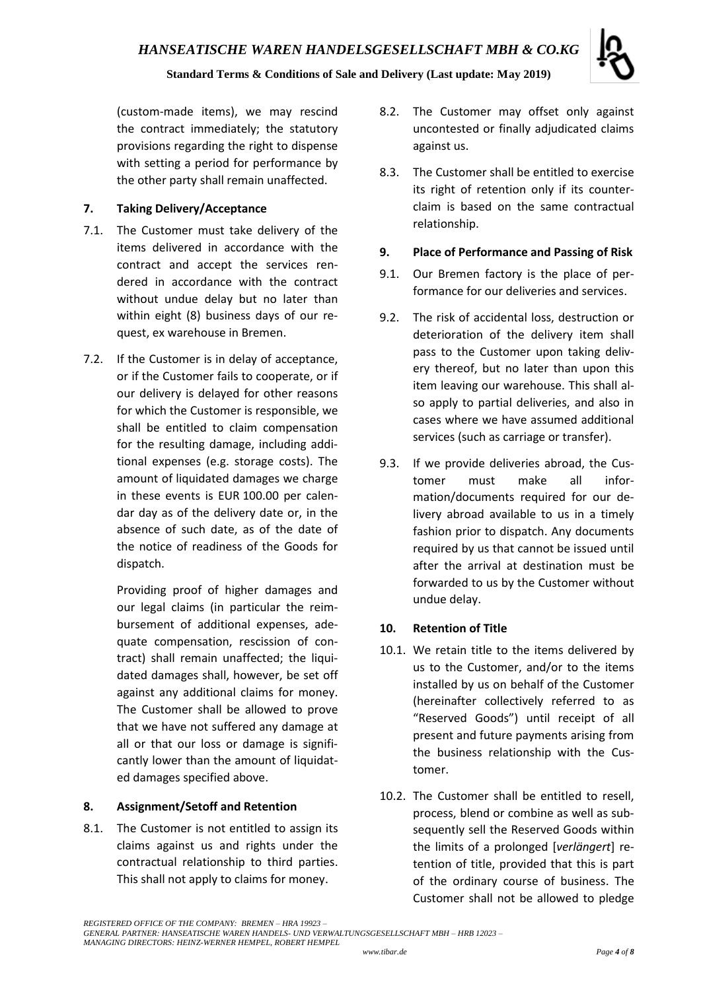

(custom-made items), we may rescind the contract immediately; the statutory provisions regarding the right to dispense with setting a period for performance by the other party shall remain unaffected.

# **7. Taking Delivery/Acceptance**

- 7.1. The Customer must take delivery of the items delivered in accordance with the contract and accept the services rendered in accordance with the contract without undue delay but no later than within eight (8) business days of our request, ex warehouse in Bremen.
- 7.2. If the Customer is in delay of acceptance, or if the Customer fails to cooperate, or if our delivery is delayed for other reasons for which the Customer is responsible, we shall be entitled to claim compensation for the resulting damage, including additional expenses (e.g. storage costs). The amount of liquidated damages we charge in these events is EUR 100.00 per calendar day as of the delivery date or, in the absence of such date, as of the date of the notice of readiness of the Goods for dispatch.

Providing proof of higher damages and our legal claims (in particular the reimbursement of additional expenses, adequate compensation, rescission of contract) shall remain unaffected; the liquidated damages shall, however, be set off against any additional claims for money. The Customer shall be allowed to prove that we have not suffered any damage at all or that our loss or damage is significantly lower than the amount of liquidated damages specified above.

### **8. Assignment/Setoff and Retention**

8.1. The Customer is not entitled to assign its claims against us and rights under the contractual relationship to third parties. This shall not apply to claims for money.

- 8.2. The Customer may offset only against uncontested or finally adjudicated claims against us.
- 8.3. The Customer shall be entitled to exercise its right of retention only if its counterclaim is based on the same contractual relationship.

#### **9. Place of Performance and Passing of Risk**

- 9.1. Our Bremen factory is the place of performance for our deliveries and services.
- 9.2. The risk of accidental loss, destruction or deterioration of the delivery item shall pass to the Customer upon taking delivery thereof, but no later than upon this item leaving our warehouse. This shall also apply to partial deliveries, and also in cases where we have assumed additional services (such as carriage or transfer).
- 9.3. If we provide deliveries abroad, the Customer must make all information/documents required for our delivery abroad available to us in a timely fashion prior to dispatch. Any documents required by us that cannot be issued until after the arrival at destination must be forwarded to us by the Customer without undue delay.

### **10. Retention of Title**

- 10.1. We retain title to the items delivered by us to the Customer, and/or to the items installed by us on behalf of the Customer (hereinafter collectively referred to as "Reserved Goods") until receipt of all present and future payments arising from the business relationship with the Customer.
- 10.2. The Customer shall be entitled to resell, process, blend or combine as well as subsequently sell the Reserved Goods within the limits of a prolonged [*verlängert*] retention of title, provided that this is part of the ordinary course of business. The Customer shall not be allowed to pledge

*GENERAL PARTNER: HANSEATISCHE WAREN HANDELS- UND VERWALTUNGSGESELLSCHAFT MBH – HRB 12023 – MANAGING DIRECTORS: HEINZ-WERNER HEMPEL, ROBERT HEMPEL*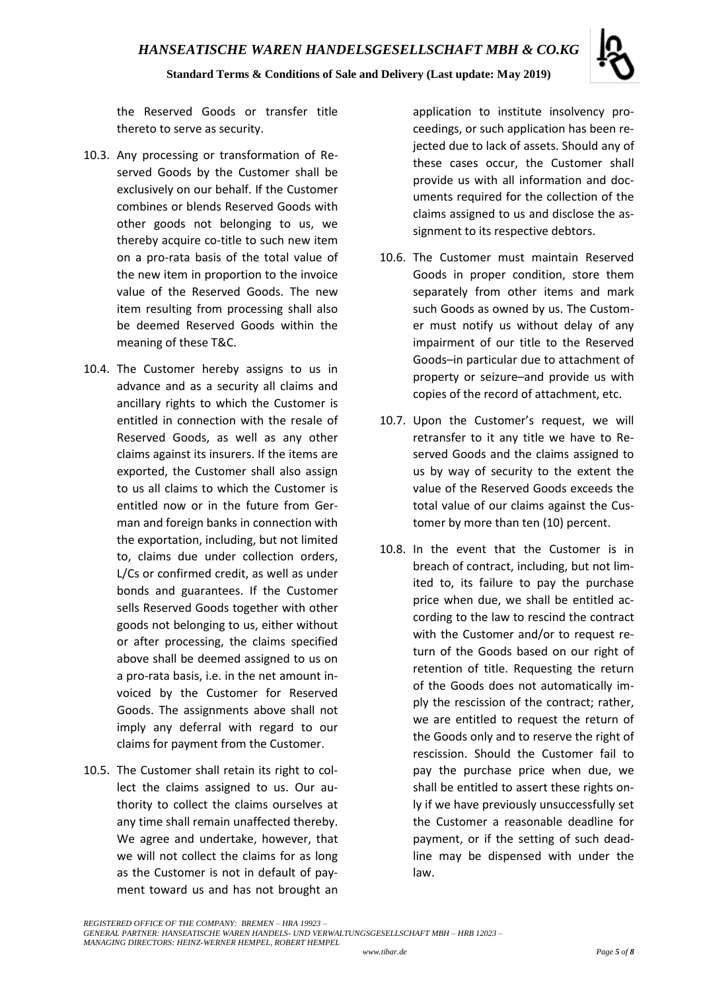the Reserved Goods or transfer title thereto to serve as security.

- 10.3. Any processing or transformation of Reserved Goods by the Customer shall be exclusively on our behalf. If the Customer combines or blends Reserved Goods with other goods not belonging to us, we thereby acquire co-title to such new item on a pro-rata basis of the total value of the new item in proportion to the invoice value of the Reserved Goods. The new item resulting from processing shall also be deemed Reserved Goods within the meaning of these T&C.
- 10.4. The Customer hereby assigns to us in advance and as a security all claims and ancillary rights to which the Customer is entitled in connection with the resale of Reserved Goods, as well as any other claims against its insurers. If the items are exported, the Customer shall also assign to us all claims to which the Customer is entitled now or in the future from German and foreign banks in connection with the exportation, including, but not limited to, claims due under collection orders, L/Cs or confirmed credit, as well as under bonds and guarantees. If the Customer sells Reserved Goods together with other goods not belonging to us, either without or after processing, the claims specified above shall be deemed assigned to us on a pro-rata basis, i.e. in the net amount invoiced by the Customer for Reserved Goods. The assignments above shall not imply any deferral with regard to our claims for payment from the Customer.
- 10.5. The Customer shall retain its right to collect the claims assigned to us. Our authority to collect the claims ourselves at any time shall remain unaffected thereby. We agree and undertake, however, that we will not collect the claims for as long as the Customer is not in default of payment toward us and has not brought an

application to institute insolvency proceedings, or such application has been rejected due to lack of assets. Should any of these cases occur, the Customer shall provide us with all information and documents required for the collection of the claims assigned to us and disclose the assignment to its respective debtors.

- 10.6. The Customer must maintain Reserved Goods in proper condition, store them separately from other items and mark such Goods as owned by us. The Customer must notify us without delay of any impairment of our title to the Reserved Goods–in particular due to attachment of property or seizure–and provide us with copies of the record of attachment, etc.
- 10.7. Upon the Customer's request, we will retransfer to it any title we have to Reserved Goods and the claims assigned to us by way of security to the extent the value of the Reserved Goods exceeds the total value of our claims against the Customer by more than ten (10) percent.
- 10.8. In the event that the Customer is in breach of contract, including, but not limited to, its failure to pay the purchase price when due, we shall be entitled according to the law to rescind the contract with the Customer and/or to request return of the Goods based on our right of retention of title. Requesting the return of the Goods does not automatically imply the rescission of the contract; rather, we are entitled to request the return of the Goods only and to reserve the right of rescission. Should the Customer fail to pay the purchase price when due, we shall be entitled to assert these rights only if we have previously unsuccessfully set the Customer a reasonable deadline for payment, or if the setting of such deadline may be dispensed with under the law.

*REGISTERED OFFICE OF THE COMPANY: BREMEN – HRA 19923 –*

*GENERAL PARTNER: HANSEATISCHE WAREN HANDELS- UND VERWALTUNGSGESELLSCHAFT MBH – HRB 12023 – MANAGING DIRECTORS: HEINZ-WERNER HEMPEL, ROBERT HEMPEL*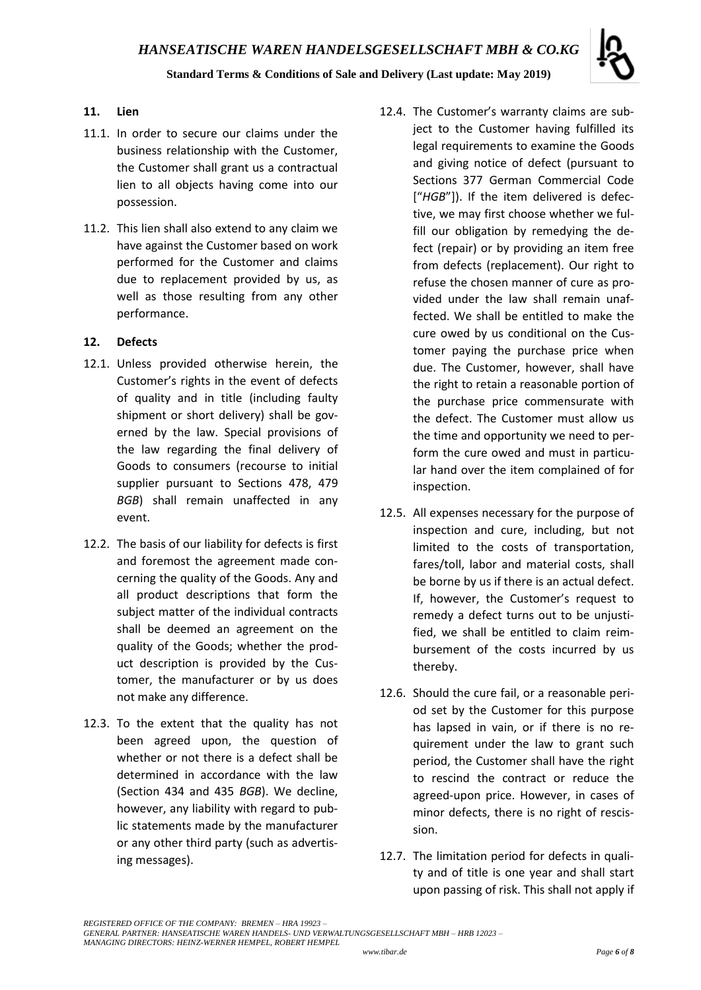

#### **11. Lien**

- 11.1. In order to secure our claims under the business relationship with the Customer, the Customer shall grant us a contractual lien to all objects having come into our possession.
- 11.2. This lien shall also extend to any claim we have against the Customer based on work performed for the Customer and claims due to replacement provided by us, as well as those resulting from any other performance.

### **12. Defects**

- 12.1. Unless provided otherwise herein, the Customer's rights in the event of defects of quality and in title (including faulty shipment or short delivery) shall be governed by the law. Special provisions of the law regarding the final delivery of Goods to consumers (recourse to initial supplier pursuant to Sections 478, 479 *BGB*) shall remain unaffected in any event.
- 12.2. The basis of our liability for defects is first and foremost the agreement made concerning the quality of the Goods. Any and all product descriptions that form the subject matter of the individual contracts shall be deemed an agreement on the quality of the Goods; whether the product description is provided by the Customer, the manufacturer or by us does not make any difference.
- 12.3. To the extent that the quality has not been agreed upon, the question of whether or not there is a defect shall be determined in accordance with the law (Section 434 and 435 *BGB*). We decline, however, any liability with regard to public statements made by the manufacturer or any other third party (such as advertising messages).
- 12.4. The Customer's warranty claims are subject to the Customer having fulfilled its legal requirements to examine the Goods and giving notice of defect (pursuant to Sections 377 German Commercial Code ["HGB"]). If the item delivered is defective, we may first choose whether we fulfill our obligation by remedying the defect (repair) or by providing an item free from defects (replacement). Our right to refuse the chosen manner of cure as provided under the law shall remain unaffected. We shall be entitled to make the cure owed by us conditional on the Customer paying the purchase price when due. The Customer, however, shall have the right to retain a reasonable portion of the purchase price commensurate with the defect. The Customer must allow us the time and opportunity we need to perform the cure owed and must in particular hand over the item complained of for inspection.
- 12.5. All expenses necessary for the purpose of inspection and cure, including, but not limited to the costs of transportation, fares/toll, labor and material costs, shall be borne by us if there is an actual defect. If, however, the Customer's request to remedy a defect turns out to be unjustified, we shall be entitled to claim reimbursement of the costs incurred by us thereby.
- 12.6. Should the cure fail, or a reasonable period set by the Customer for this purpose has lapsed in vain, or if there is no requirement under the law to grant such period, the Customer shall have the right to rescind the contract or reduce the agreed-upon price. However, in cases of minor defects, there is no right of rescission.
- 12.7. The limitation period for defects in quality and of title is one year and shall start upon passing of risk. This shall not apply if

*GENERAL PARTNER: HANSEATISCHE WAREN HANDELS- UND VERWALTUNGSGESELLSCHAFT MBH – HRB 12023 – MANAGING DIRECTORS: HEINZ-WERNER HEMPEL, ROBERT HEMPEL*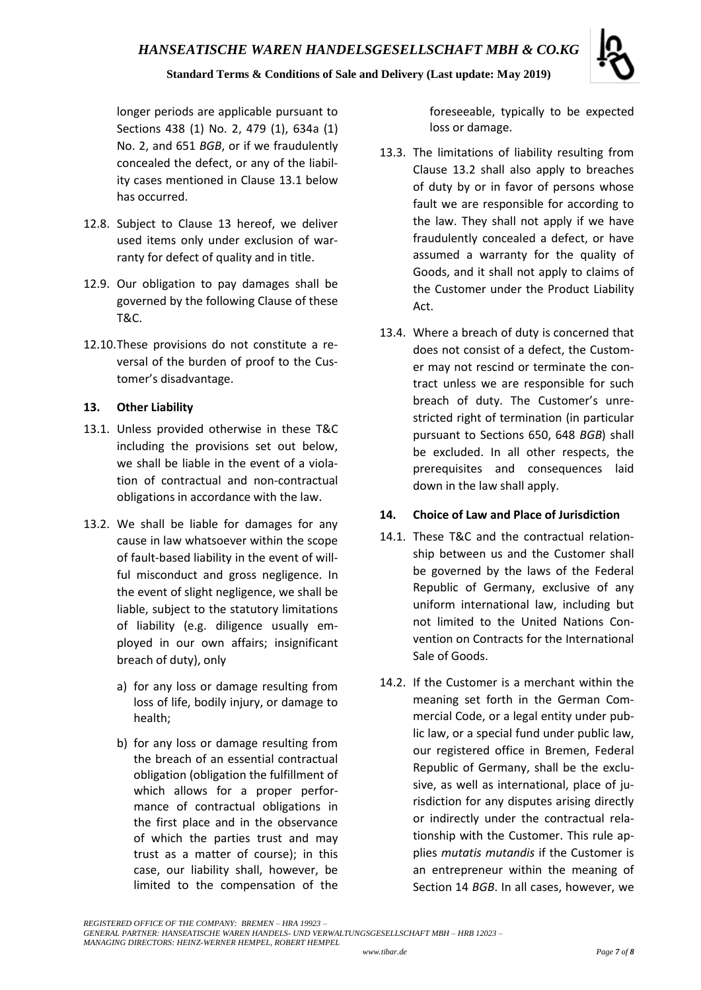

longer periods are applicable pursuant to Sections 438 (1) No. 2, 479 (1), 634a (1) No. 2, and 651 *BGB*, or if we fraudulently concealed the defect, or any of the liability cases mentioned in Clause 13.1 below has occurred.

- 12.8. Subject to Clause 13 hereof, we deliver used items only under exclusion of warranty for defect of quality and in title.
- 12.9. Our obligation to pay damages shall be governed by the following Clause of these T&C.
- 12.10.These provisions do not constitute a reversal of the burden of proof to the Customer's disadvantage.

### **13. Other Liability**

- 13.1. Unless provided otherwise in these T&C including the provisions set out below, we shall be liable in the event of a violation of contractual and non-contractual obligations in accordance with the law.
- 13.2. We shall be liable for damages for any cause in law whatsoever within the scope of fault-based liability in the event of willful misconduct and gross negligence. In the event of slight negligence, we shall be liable, subject to the statutory limitations of liability (e.g. diligence usually employed in our own affairs; insignificant breach of duty), only
	- a) for any loss or damage resulting from loss of life, bodily injury, or damage to health;
	- b) for any loss or damage resulting from the breach of an essential contractual obligation (obligation the fulfillment of which allows for a proper performance of contractual obligations in the first place and in the observance of which the parties trust and may trust as a matter of course); in this case, our liability shall, however, be limited to the compensation of the

foreseeable, typically to be expected loss or damage.

- 13.3. The limitations of liability resulting from Clause 13.2 shall also apply to breaches of duty by or in favor of persons whose fault we are responsible for according to the law. They shall not apply if we have fraudulently concealed a defect, or have assumed a warranty for the quality of Goods, and it shall not apply to claims of the Customer under the Product Liability Act.
- 13.4. Where a breach of duty is concerned that does not consist of a defect, the Customer may not rescind or terminate the contract unless we are responsible for such breach of duty. The Customer's unrestricted right of termination (in particular pursuant to Sections 650, 648 *BGB*) shall be excluded. In all other respects, the prerequisites and consequences laid down in the law shall apply.

### **14. Choice of Law and Place of Jurisdiction**

- 14.1. These T&C and the contractual relationship between us and the Customer shall be governed by the laws of the Federal Republic of Germany, exclusive of any uniform international law, including but not limited to the United Nations Convention on Contracts for the International Sale of Goods.
- 14.2. If the Customer is a merchant within the meaning set forth in the German Commercial Code, or a legal entity under public law, or a special fund under public law, our registered office in Bremen, Federal Republic of Germany, shall be the exclusive, as well as international, place of jurisdiction for any disputes arising directly or indirectly under the contractual relationship with the Customer. This rule applies *mutatis mutandis* if the Customer is an entrepreneur within the meaning of Section 14 *BGB*. In all cases, however, we

*REGISTERED OFFICE OF THE COMPANY: BREMEN – HRA 19923 –*

*GENERAL PARTNER: HANSEATISCHE WAREN HANDELS- UND VERWALTUNGSGESELLSCHAFT MBH – HRB 12023 – MANAGING DIRECTORS: HEINZ-WERNER HEMPEL, ROBERT HEMPEL*